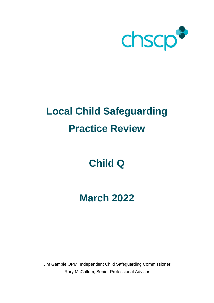

# **Local Child Safeguarding Practice Review**

## **Child Q**

## **March 2022**

Jim Gamble QPM, Independent Child Safeguarding Commissioner Rory McCallum, Senior Professional Advisor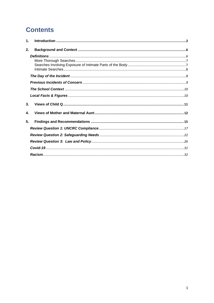## **Contents**

| 1.             |  |
|----------------|--|
| 2.             |  |
|                |  |
|                |  |
|                |  |
|                |  |
|                |  |
|                |  |
|                |  |
|                |  |
| 3 <sub>1</sub> |  |
| 4.             |  |
| 5.             |  |
|                |  |
|                |  |
|                |  |
|                |  |
|                |  |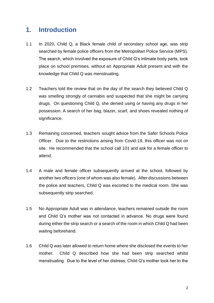### <span id="page-2-0"></span>**1. Introduction**

- 1.1 In 2020, Child Q, a Black female child of secondary school age, was strip searched by female police officers from the Metropolitan Police Service (MPS). The search, which involved the exposure of Child Q's intimate body parts, took place on school premises, without an Appropriate Adult present and with the knowledge that Child Q was menstruating.
- 1.2 Teachers told the review that on the day of the search they believed Child Q was smelling strongly of cannabis and suspected that she might be carrying drugs. On questioning Child Q, she denied using or having any drugs in her possession. A search of her bag, blazer, scarf, and shoes revealed nothing of significance.
- 1.3 Remaining concerned, teachers sought advice from the Safer Schools Police Officer. Due to the restrictions arising from Covid-19, this officer was not on site. He recommended that the school call 101 and ask for a female officer to attend.
- 1.4 A male and female officer subsequently arrived at the school, followed by another two officers (one of whom was also female). After discussions between the police and teachers, Child Q was escorted to the medical room. She was subsequently strip searched.
- 1.5 No Appropriate Adult was in attendance, teachers remained outside the room and Child Q's mother was not contacted in advance. No drugs were found during either the strip search or a search of the room in which Child Q had been waiting beforehand.
- 1.6 Child Q was later allowed to return home where she disclosed the events to her mother. Child Q described how she had been strip searched whilst menstruating. Due to the level of her distress, Child Q's mother took her to the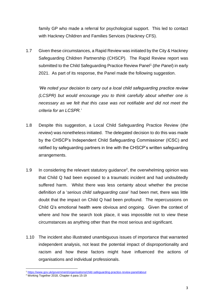family GP who made a referral for psychological support. This led to contact with Hackney Children and Families Services (Hackney CFS).

1.7 Given these circumstances, a Rapid Review was initiated by the City & Hackney Safeguarding Children Partnership (CHSCP). The Rapid Review report was submitted to the Child Safeguarding Practice Review Panel<sup>1</sup> (the Panel) in early 2021. As part of its response, the Panel made the following suggestion.

*'We noted your decision to carry out a local child safeguarding practice review (LCSPR) but would encourage you to think carefully about whether one is necessary as we felt that this case was not notifiable and did not meet the criteria for an LCSPR.'*

- 1.8 Despite this suggestion, a Local Child Safeguarding Practice Review (*the review*) was nonetheless initiated. The delegated decision to do this was made by the CHSCP's Independent Child Safeguarding Commissioner (ICSC) and ratified by safeguarding partners in line with the CHSCP's written safeguarding arrangements.
- 1.9 In considering the relevant statutory guidance<sup>2</sup>, the overwhelming opinion was that Child Q had been exposed to a traumatic incident and had undoubtedly suffered harm. Whilst there was less certainty about whether the precise definition of a '*serious child safeguarding case*' had been met, there was little doubt that the impact on Child Q had been profound. The repercussions on Child Q's emotional health were obvious and ongoing. Given the context of where and how the search took place, it was impossible not to view these circumstances as anything other than the most serious and significant.
- 1.10 The incident also illustrated unambiguous issues of importance that warranted independent analysis, not least the potential impact of disproportionality and racism and how these factors might have influenced the actions of organisations and individual professionals.

<sup>1</sup> <https://www.gov.uk/government/organisations/child-safeguarding-practice-review-panel/about>

<sup>&</sup>lt;sup>2</sup> Working Together 2018, Chapter 4 para 15-19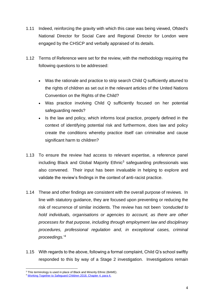- 1.11 Indeed, reinforcing the gravity with which this case was being viewed, Ofsted's National Director for Social Care and Regional Director for London were engaged by the CHSCP and verbally appraised of its details.
- 1.12 Terms of Reference were set for the review, with the methodology requiring the following questions to be addressed:
	- Was the rationale and practice to strip search Child Q sufficiently attuned to the rights of children as set out in the relevant articles of the United Nations Convention on the Rights of the Child?
	- Was practice involving Child Q sufficiently focused on her potential safeguarding needs?
	- Is the law and policy, which informs local practice, properly defined in the context of identifying potential risk and furthermore, does law and policy create the conditions whereby practice itself can criminalise and cause significant harm to children?
- 1.13 To ensure the review had access to relevant expertise, a reference panel including Black and Global Majority Ethnic<sup>3</sup> safeguarding professionals was also convened. Their input has been invaluable in helping to explore and validate the review's findings in the context of anti-racist practice.
- 1.14 These and other findings are consistent with the overall purpose of reviews. In line with statutory guidance, they are focused upon preventing or reducing the risk of recurrence of similar incidents. The review has not been *'conducted to hold individuals, organisations or agencies to account, as there are other processes for that purpose, including through employment law and disciplinary procedures, professional regulation and, in exceptional cases, criminal proceedings.*' 4
- 1.15 With regards to the above, following a formal complaint, Child Q's school swiftly responded to this by way of a Stage 2 investigation. Investigations remain

<sup>&</sup>lt;sup>3</sup> This terminology is used in place of Black and Minority Ethnic (BAME).

<sup>4</sup> [Working Together to Safeguard Children 2018, Chapter 4, para 4.](https://assets.publishing.service.gov.uk/government/uploads/system/uploads/attachment_data/file/942454/Working_together_to_safeguard_children_inter_agency_guidance.pdf)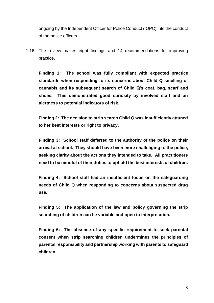ongoing by the Independent Officer for Police Conduct (IOPC) into the conduct of the police officers.

1.16 The review makes eight findings and 14 recommendations for improving practice.

**Finding 1: The school was fully compliant with expected practice standards when responding to its concerns about Child Q smelling of cannabis and its subsequent search of Child Q's coat, bag, scarf and shoes. This demonstrated good curiosity by involved staff and an alertness to potential indicators of risk.**

**Finding 2: The decision to strip search Child Q was insufficiently attuned to her best interests or right to privacy.** 

**Finding 3: School staff deferred to the authority of the police on their arrival at school. They should have been more challenging to the police, seeking clarity about the actions they intended to take. All practitioners need to be mindful of their duties to uphold the best interests of children.**

**Finding 4: School staff had an insufficient focus on the safeguarding needs of Child Q when responding to concerns about suspected drug use.**

**Finding 5: The application of the law and policy governing the strip searching of children can be variable and open to interpretation.** 

**Finding 6: The absence of any specific requirement to seek parental consent when strip searching children undermines the principles of parental responsibility and partnership working with parents to safeguard children.**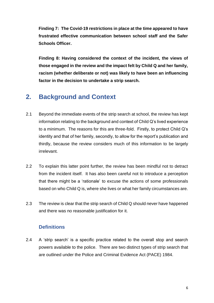**Finding 7: The Covid-19 restrictions in place at the time appeared to have frustrated effective communication between school staff and the Safer Schools Officer.** 

**Finding 8: Having considered the context of the incident, the views of those engaged in the review and the impact felt by Child Q and her family, racism (whether deliberate or not) was likely to have been an influencing factor in the decision to undertake a strip search.** 

## <span id="page-6-0"></span>**2. Background and Context**

- 2.1 Beyond the immediate events of the strip search at school, the review has kept information relating to the background and context of Child Q's lived experience to a minimum. The reasons for this are three-fold. Firstly, to protect Child Q's identity and that of her family, secondly, to allow for the report's publication and thirdly, because the review considers much of this information to be largely irrelevant.
- 2.2 To explain this latter point further, the review has been mindful not to detract from the incident itself. It has also been careful not to introduce a perception that there might be a 'rationale' to excuse the actions of some professionals based on who Child Q is, where she lives or what her family circumstances are.
- 2.3 The review is clear that the strip search of Child Q should never have happened and there was no reasonable justification for it.

#### <span id="page-6-1"></span>**Definitions**

2.4 A 'strip search' is a specific practice related to the overall stop and search powers available to the police. There are two distinct types of strip search that are outlined under the Police and Criminal Evidence Act (PACE) 1984.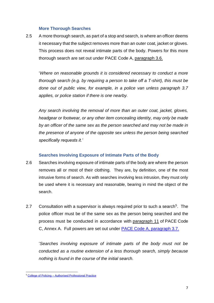#### **More Thorough Searches**

<span id="page-7-0"></span>2.5 A more thorough search, as part of a stop and search, is where an officer deems it necessary that the subject removes more than an outer coat, jacket or gloves. This process does not reveal intimate parts of the body. Powers for this more thorough search are set out under PACE Code A, [paragraph 3.6.](https://www.gov.uk/government/uploads/system/uploads/attachment_data/file/414195/2015_Code_A_web-19-03-15.pdf#page=15)

'*Where on reasonable grounds it is considered necessary to conduct a more thorough search (e.g. by requiring a person to take off a T-shirt), this must be done out of public view, for example, in a police van unless paragraph 3.7 applies, or police station if there is one nearby.*

*Any search involving the removal of more than an outer coat, jacket, gloves, headgear or footwear, or any other item concealing identity, may only be made by an officer of the same sex as the person searched and may not be made in the presence of anyone of the opposite sex unless the person being searched specifically requests it.'*

#### **Searches Involving Exposure of Intimate Parts of the Body**

- <span id="page-7-1"></span>2.6 Searches involving exposure of intimate parts of the body are where the person removes all or most of their clothing. They are, by definition, one of the most intrusive forms of search. As with searches involving less intrusion, they must only be used where it is necessary and reasonable, bearing in mind the object of the search.
- 2.7 Consultation with a supervisor is always required prior to such a search<sup>5</sup>. The police officer must be of the same sex as the person being searched and the process must be conducted in accordance with [paragraph 11](https://www.gov.uk/government/uploads/system/uploads/attachment_data/file/364707/PaceCodeC2014.pdf#page=64) of PACE Code C, Annex A. Full powers are set out under [PACE Code A, paragraph 3.7.](https://assets.publishing.service.gov.uk/government/uploads/system/uploads/attachment_data/file/903810/pace-code-a-2015.pdf#page=15)

'*Searches involving exposure of intimate parts of the body must not be conducted as a routine extension of a less thorough search, simply because nothing is found in the course of the initial search.* 

<sup>5</sup> College of Policing – [Authorised Professional Practice](https://www.app.college.police.uk/app-content/stop-and-search/legal/legal-application/)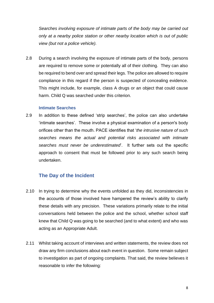*Searches involving exposure of intimate parts of the body may be carried out only at a nearby police station or other nearby location which is out of public view (but not a police vehicle).* 

2.8 During a search involving the exposure of intimate parts of the body, persons are required to remove some or potentially all of their clothing. They can also be required to bend over and spread their legs. The police are allowed to require compliance in this regard if the person is suspected of concealing evidence. This might include, for example, class A drugs or an object that could cause harm. Child Q was searched under this criterion.

#### **Intimate Searches**

<span id="page-8-0"></span>2.9 In addition to these defined 'strip searches', the police can also undertake 'intimate searches'. These involve a physical examination of a person's body orifices other than the mouth. PACE identifies that '*the intrusive nature of such searches means the actual and potential risks associated with intimate searches must never be underestimated*'. It further sets out the specific approach to consent that must be followed prior to any such search being undertaken.

#### <span id="page-8-1"></span>**The Day of the Incident**

- 2.10 In trying to determine why the events unfolded as they did, inconsistencies in the accounts of those involved have hampered the review's ability to clarify these details with any precision. These variations primarily relate to the initial conversations held between the police and the school, whether school staff knew that Child Q was going to be searched (and to what extent) and who was acting as an Appropriate Adult.
- 2.11 Whilst taking account of interviews and written statements, the review does not draw any firm conclusions about each event in question. Some remain subject to investigation as part of ongoing complaints. That said, the review believes it reasonable to infer the following: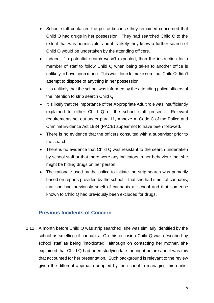- School staff contacted the police because they remained concerned that Child Q had drugs in her possession. They had searched Child Q to the extent that was permissible, and it is likely they knew a further search of Child Q would be undertaken by the attending officers.
- Indeed, if a potential search wasn't expected, then the instruction for a member of staff to follow Child Q when being taken to another office is unlikely to have been made. This was done to make sure that Child Q didn't attempt to dispose of anything in her possession.
- It is unlikely that the school was informed by the attending police officers of the intention to strip search Child Q.
- It is likely that the importance of the Appropriate Adult role was insufficiently explained to either Child Q or the school staff present. Relevant requirements set out under para 11, Annexe A, Code C of the Police and Criminal Evidence Act 1984 (PACE) appear not to have been followed.
- There is no evidence that the officers consulted with a supervisor prior to the search.
- There is no evidence that Child Q was resistant to the search undertaken by school staff or that there were any indicators in her behaviour that she might be hiding drugs on her person.
- The rationale used by the police to initiate the strip search was primarily based on reports provided by the school – that she had smelt of cannabis, that she had previously smelt of cannabis at school and that someone known to Child Q had previously been excluded for drugs.

#### <span id="page-9-0"></span>**Previous Incidents of Concern**

2.12 A month before Child Q was strip searched, she was similarly identified by the school as smelling of cannabis. On this occasion Child Q was described by school staff as being 'intoxicated', although on contacting her mother, she explained that Child Q had been studying late the night before and it was this that accounted for her presentation. Such background is relevant to the review given the different approach adopted by the school in managing this earlier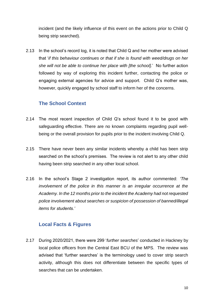incident (and the likely influence of this event on the actions prior to Child Q being strip searched).

2.13 In the school's record log, it is noted that Child Q and her mother were advised that '*if this behaviour continues or that if she is found with weed/drugs on her she will not be able to continue her place with [the school].*' No further action followed by way of exploring this incident further, contacting the police or engaging external agencies for advice and support. Child Q's mother was, however, quickly engaged by school staff to inform her of the concerns.

#### <span id="page-10-0"></span>**The School Context**

- 2.14 The most recent inspection of Child Q's school found it to be good with safeguarding effective. There are no known complaints regarding pupil wellbeing or the overall provision for pupils prior to the incident involving Child Q.
- 2.15 There have never been any similar incidents whereby a child has been strip searched on the school's premises. The review is not alert to any other child having been strip searched in any other local school.
- 2.16 In the school's Stage 2 investigation report, its author commented: *'The involvement of the police in this manner is an irregular occurrence at the Academy. In the 12 months prior to the incident the Academy had not requested police involvement about searches or suspicion of possession of banned/illegal items for students.'*

#### <span id="page-10-1"></span>**Local Facts & Figures**

2.17 During 2020/2021, there were 299 '*further searches*' conducted in Hackney by local police officers from the Central East BCU of the MPS. The review was advised that 'further searches' is the terminology used to cover strip search activity, although this does not differentiate between the specific types of searches that can be undertaken.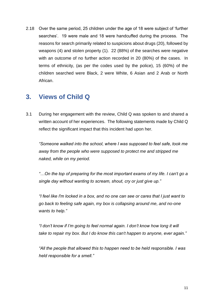2.18 Over the same period, 25 children under the age of 18 were subject of 'further searches'. 19 were male and 18 were handcuffed during the process. The reasons for search primarily related to suspicions about drugs (20), followed by weapons (4) and stolen property (1). 22 (88%) of the searches were negative with an outcome of no further action recorded in 20 (80%) of the cases. In terms of ethnicity, (as per the codes used by the police), 15 (60%) of the children searched were Black, 2 were White, 6 Asian and 2 Arab or North African.

## <span id="page-11-0"></span>**3. Views of Child Q**

3.1 During her engagement with the review, Child Q was spoken to and shared a written account of her experiences. The following statements made by Child Q reflect the significant impact that this incident had upon her.

*"Someone walked into the school, where I was supposed to feel safe, took me away from the people who were supposed to protect me and stripped me naked, while on my period.* 

*"…On the top of preparing for the most important exams of my life. I can't go a single day without wanting to scream, shout, cry or just give up."*

*"I feel like I'm locked in a box, and no one can see or cares that I just want to go back to feeling safe again, my box is collapsing around me, and no-one wants to help."*

*"I don't know if I'm going to feel normal again. I don't know how long it will take to repair my box. But I do know this can't happen to anyone, ever again."*

*"All the people that allowed this to happen need to be held responsible. I was held responsible for a smell."*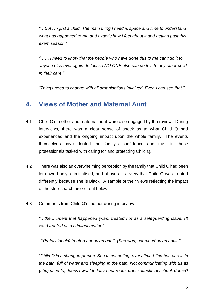*"…But I'm just a child. The main thing I need is space and time to understand what has happened to me and exactly how I feel about it and getting past this exam season."*

*"…… I need to know that the people who have done this to me can't do it to anyone else ever again. In fact so NO ONE else can do this to any other child in their care."*

*"Things need to change with all organisations involved. Even I can see that."*

### <span id="page-12-0"></span>**4. Views of Mother and Maternal Aunt**

- 4.1 Child Q's mother and maternal aunt were also engaged by the review. During interviews, there was a clear sense of shock as to what Child Q had experienced and the ongoing impact upon the whole family. The events themselves have dented the family's confidence and trust in those professionals tasked with caring for and protecting Child Q.
- 4.2 There was also an overwhelming perception by the family that Child Q had been let down badly, criminalised, and above all, a view that Child Q was treated differently because she is Black. A sample of their views reflecting the impact of the strip-search are set out below.
- 4.3 Comments from Child Q's mother during interview.

*"…the incident that happened (was) treated not as a safeguarding issue. (It was) treated as a criminal matter."*

*"(Professionals) treated her as an adult. (She was) searched as an adult."*

*"Child Q is a changed person. She is not eating, every time I find her, she is in the bath, full of water and sleeping in the bath. Not communicating with us as (she) used to, doesn't want to leave her room, panic attacks at school, doesn't*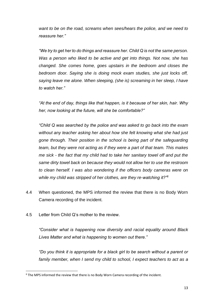*want to be on the road, screams when sees/hears the police, and we need to reassure her."*

*"We try to get her to do things and reassure her. Child Q is not the same person. Was a person who liked to be active and get into things. Not now, she has changed. She comes home, goes upstairs in the bedroom and closes the bedroom door. Saying she is doing mock exam studies, she just locks off, saying leave me alone. When sleeping, (she is) screaming in her sleep, I have to watch her."*

*"At the end of day, things like that happen, is it because of her skin, hair. Why her, now looking at the future, will she be comfortable?"*

*"Child Q was searched by the police and was asked to go back into the exam without any teacher asking her about how she felt knowing what she had just gone through. Their position in the school is being part of the safeguarding team, but they were not acting as if they were a part of that team. This makes me sick - the fact that my child had to take her sanitary towel off and put the same dirty towel back on because they would not allow her to use the restroom to clean herself. I was also wondering if the officers body cameras were on while my child was stripped of her clothes, are they re-watching it?"<sup>6</sup>*

- 4.4 When questioned, the MPS informed the review that there is no Body Worn Camera recording of the incident.
- 4.5 Letter from Child Q's mother to the review.

*"Consider what is happening now diversity and racial equality around Black Lives Matter and what is happening to women out there."*

*"Do you think it is appropriate for a black girl to be search without a parent or family member, when I send my child to school, I expect teachers to act as a* 

<sup>6</sup> The MPS informed the review that there is no Body Worn Camera recording of the incident.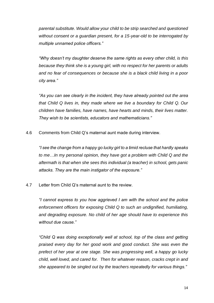*parental substitute. Would allow your child to be strip searched and questioned without consent or a guardian present, for a 15-year-old to be interrogated by multiple unnamed police officers."*

*"Why doesn't my daughter deserve the same rights as every other child, is this because they think she is a young girl, with no respect for her parents or adults and no fear of consequences or because she is a black child living in a poor city area."*

*"As you can see clearly in the incident, they have already pointed out the area that Child Q lives in, they made where we live a boundary for Child Q. Our children have families, have names, have hearts and minds, their lives matter. They wish to be scientists, educators and mathematicians."*

4.6 Comments from Child Q's maternal aunt made during interview.

*"I see the change from a happy go lucky girl to a timid recluse that hardly speaks to me…In my personal opinion, they have got a problem with Child Q and the aftermath is that when she sees this individual (a teacher) in school, gets panic attacks. They are the main instigator of the exposure."*

4.7 Letter from Child Q's maternal aunt to the review.

*"I cannot express to you how aggrieved I am with the school and the police enforcement officers for exposing Child Q to such an undignified, humiliating, and degrading exposure. No child of her age should have to experience this without due cause."*

*"Child Q was doing exceptionally well at school, top of the class and getting praised every day for her good work and good conduct. She was even the prefect of her year at one stage. She was progressing well, a happy go lucky child, well loved, and cared for. Then for whatever reason, cracks crept in and she appeared to be singled out by the teachers repeatedly for various things."*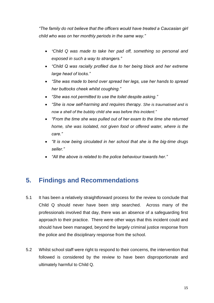*"The family do not believe that the officers would have treated a Caucasian girl child who was on her monthly periods in the same way."*

- *"Child Q was made to take her pad off, something so personal and exposed in such a way to strangers."*
- *"Child Q was racially profiled due to her being black and her extreme large head of locks."*
- *"She was made to bend over spread her legs, use her hands to spread her buttocks cheek whilst coughing."*
- *"She was not permitted to use the toilet despite asking."*
- *"She is now self-harming and requires therapy. She is traumatised and is now a shell of the bubbly child she was before this incident."*
- *"From the time she was pulled out of her exam to the time she returned home, she was isolated, not given food or offered water, where is the care."*
- *"It is now being circulated in her school that she is the big-time drugs seller."*
- *"All the above is related to the police behaviour towards her."*

## <span id="page-15-0"></span>**5. Findings and Recommendations**

- 5.1 It has been a relatively straightforward process for the review to conclude that Child Q should never have been strip searched. Across many of the professionals involved that day, there was an absence of a safeguarding first approach to their practice. There were other ways that this incident could and should have been managed, beyond the largely criminal justice response from the police and the disciplinary response from the school.
- 5.2 Whilst school staff were right to respond to their concerns, the intervention that followed is considered by the review to have been disproportionate and ultimately harmful to Child Q.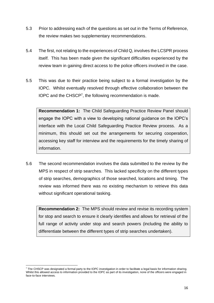- 5.3 Prior to addressing each of the questions as set out in the Terms of Reference, the review makes two supplementary recommendations.
- 5.4 The first, not relating to the experiences of Child Q, involves the LCSPR process itself. This has been made given the significant difficulties experienced by the review team in gaining direct access to the police officers involved in the case.
- 5.5 This was due to their practice being subject to a formal investigation by the IOPC. Whilst eventually resolved through effective collaboration between the IOPC and the CHSCP<sup>7</sup>, the following recommendation is made.

**Recommendation 1:** The Child Safeguarding Practice Review Panel should engage the IOPC with a view to developing national guidance on the IOPC's interface with the Local Child Safeguarding Practice Review process. As a minimum, this should set out the arrangements for securing cooperation, accessing key staff for interview and the requirements for the timely sharing of information.

5.6 The second recommendation involves the data submitted to the review by the MPS in respect of strip searches. This lacked specificity on the different types of strip searches, demographics of those searched, locations and timing. The review was informed there was no existing mechanism to retrieve this data without significant operational tasking.

**Recommendation 2:** The MPS should review and revise its recording system for stop and search to ensure it clearly identifies and allows for retrieval of the full range of activity under stop and search powers (including the ability to differentiate between the different types of strip searches undertaken).

 $^7$  The CHSCP was designated a formal party to the IOPC investigation in order to facilitate a legal basis for information sharing. Whilst this allowed access to information provided to the IOPC as part of its investigation, none of the officers were engaged in face-to-face interviews.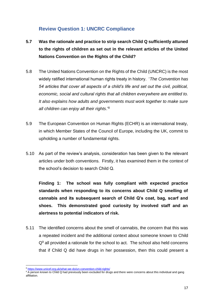#### <span id="page-17-0"></span>**Review Question 1: UNCRC Compliance**

- **5.7 Was the rationale and practice to strip search Child Q sufficiently attuned to the rights of children as set out in the relevant articles of the United Nations Convention on the Rights of the Child?**
- 5.8 The United Nations Convention on the Rights of the Child (UNCRC) is the most widely ratified international human rights treaty in history. '*The Convention has 54 articles that cover all aspects of a child's life and set out the civil, political, economic, social and cultural rights that all children everywhere are entitled to. It also explains how adults and governments must work together to make sure all children can enjoy all their rights*.'<sup>8</sup>
- 5.9 The European Convention on Human Rights (ECHR) is an international treaty, in which Member States of the Council of Europe, including the UK, commit to upholding a number of fundamental rights.
- 5.10 As part of the review's analysis, consideration has been given to the relevant articles under both conventions. Firstly, it has examined them in the context of the school's decision to search Child Q.

**Finding 1: The school was fully compliant with expected practice standards when responding to its concerns about Child Q smelling of cannabis and its subsequent search of Child Q's coat, bag, scarf and shoes. This demonstrated good curiosity by involved staff and an alertness to potential indicators of risk.**

5.11 The identified concerns about the smell of cannabis, the concern that this was a repeated incident and the additional context about someone known to Child  $Q<sup>9</sup>$  all provided a rationale for the school to act. The school also held concerns that if Child Q did have drugs in her possession, then this could present a

<sup>8</sup> <https://www.unicef.org.uk/what-we-do/un-convention-child-rights/>

<sup>&</sup>lt;sup>9</sup> A person known to Child Q had previously been excluded for drugs and there were concerns about this individual and gang affiliation.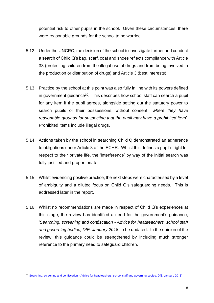potential risk to other pupils in the school. Given these circumstances, there were reasonable grounds for the school to be worried.

- 5.12 Under the UNCRC, the decision of the school to investigate further and conduct a search of Child Q's bag, scarf, coat and shoes reflects compliance with Article 33 (protecting children from the illegal use of drugs and from being involved in the production or distribution of drugs) and Article 3 (best interests).
- 5.13 Practice by the school at this point was also fully in line with its powers defined in government guidance<sup>10</sup>. This describes how school staff can search a pupil for any item if the pupil agrees, alongside setting out the statutory power to search pupils or their possessions, without consent, '*where they have reasonable grounds for suspecting that the pupil may have a prohibited item*'. Prohibited items include illegal drugs.
- 5.14 Actions taken by the school in searching Child Q demonstrated an adherence to obligations under Article 8 of the ECHR. Whilst this defines a pupil's right for respect to their private life, the 'interference' by way of the initial search was fully justified and proportionate.
- 5.15 Whilst evidencing positive practice, the next steps were characterised by a level of ambiguity and a diluted focus on Child Q's safeguarding needs. This is addressed later in the report.
- 5.16 Whilst no recommendations are made in respect of Child Q's experiences at this stage, the review has identified a need for the government's guidance, '*Searching, screening and confiscation - Advice for headteachers, school staff and governing bodies, DfE, January 2018'* to be updated. In the opinion of the review, this guidance could be strengthened by including much stronger reference to the primary need to safeguard children.

<sup>10</sup> 'Searching, screening and confiscation - [Advice for headteachers, school staff and governing bodies, DfE, January 2018'](https://assets.publishing.service.gov.uk/government/uploads/system/uploads/attachment_data/file/674416/Searching_screening_and_confiscation.pdf)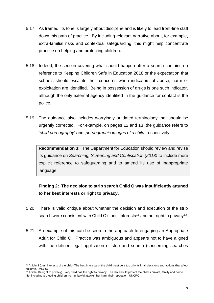- 5.17 As framed, its tone is largely about discipline and is likely to lead front-line staff down this path of practice. By including relevant narrative about, for example, extra-familial risks and contextual safeguarding, this might help concentrate practice on helping and protecting children.
- 5.18 Indeed, the section covering what should happen after a search contains no reference to Keeping Children Safe in Education 2018 or the expectation that schools should escalate their concerns when indicators of abuse, harm or exploitation are identified. Being in possession of drugs is one such indicator, although the only external agency identified in the guidance for contact is the police.
- 5.19 The guidance also includes worryingly outdated terminology that should be urgently corrected. For example, on pages 12 and 13, the guidance refers to '*child pornography*' and '*pornographic images of a child*' respectively.

**Recommendation 3:** The Department for Education should review and revise its guidance on *Searching, Screening and Confiscation (2018)* to include more explicit reference to safeguarding and to amend its use of inappropriate language.

**Finding 2: The decision to strip search Child Q was insufficiently attuned to her best interests or right to privacy.** 

- 5.20 There is valid critique about whether the decision and execution of the strip search were consistent with Child Q's best interests<sup>11</sup> and her right to privacy<sup>12</sup>.
- 5.21 An example of this can be seen in the approach to engaging an Appropriate Adult for Child Q. Practice was ambiguous and appears not to have aligned with the defined legal application of stop and search (concerning searches

<sup>11</sup> Article 3 (best interests of the child) The best interests of the child must be a top priority in all decisions and actions that affect children. UNCRC

<sup>&</sup>lt;sup>12</sup> Article 16 (right to privacy) Every child has the right to privacy. The law should protect the child's private, family and home life, including protecting children from unlawful attacks that harm their reputation. UNCRC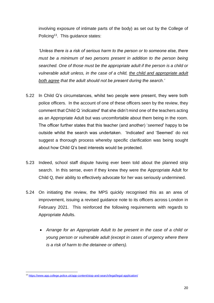involving exposure of intimate parts of the body) as set out by the College of Policing<sup>13</sup>. This guidance states:

*'Unless there is a risk of serious harm to the person or to someone else, there must be a minimum of two persons present in addition to the person being searched. One of those must be the appropriate adult if the person is a child or vulnerable adult unless, in the case of a child, the child and appropriate adult both agree that the adult should not be present during the search.'*

- 5.22 In Child Q's circumstances, whilst two people were present, they were both police officers. In the account of one of these officers seen by the review, they comment that Child Q '*indicated*' that she didn't mind one of the teachers acting as an Appropriate Adult but was uncomfortable about them being in the room. The officer further states that this teacher (and another) '*seemed*' happy to be outside whilst the search was undertaken. 'Indicated' and 'Seemed' do not suggest a thorough process whereby specific clarification was being sought about how Child Q's best interests would be protected.
- 5.23 Indeed, school staff dispute having ever been told about the planned strip search. In this sense, even if they knew they were the Appropriate Adult for Child Q, their ability to effectively advocate for her was seriously undermined.
- 5.24 On initiating the review, the MPS quickly recognised this as an area of improvement, issuing a revised guidance note to its officers across London in February 2021. This reinforced the following requirements with regards to Appropriate Adults.
	- *Arrange for an Appropriate Adult to be present in the case of a child or young person or vulnerable adult (except in cases of urgency where there is a risk of harm to the detainee or others).*

<sup>13</sup> <https://www.app.college.police.uk/app-content/stop-and-search/legal/legal-application/>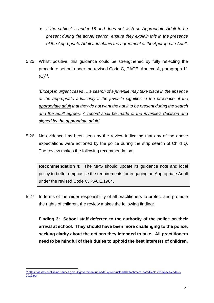- *If the subject is under 18 and does not wish an Appropriate Adult to be present during the actual search, ensure they explain this in the presence of the Appropriate Adult and obtain the agreement of the Appropriate Adult.*
- 5.25 Whilst positive, this guidance could be strengthened by fully reflecting the procedure set out under the revised Code C, PACE, Annexe A, paragraph 11  $(C)^{14}$ .

'*Except in urgent cases … a search of a juvenile may take place in the absence of the appropriate adult only if the juvenile signifies in the presence of the appropriate adult that they do not want the adult to be present during the search and the adult agrees. A record shall be made of the juvenile's decision and signed by the appropriate adult.*'

5.26 No evidence has been seen by the review indicating that any of the above expectations were actioned by the police during the strip search of Child Q. The review makes the following recommendation:

**Recommendation 4:** The MPS should update its guidance note and local policy to better emphasise the requirements for engaging an Appropriate Adult under the revised Code C, PACE,1984.

5.27 In terms of the wider responsibility of all practitioners to protect and promote the rights of children, the review makes the following finding:

**Finding 3: School staff deferred to the authority of the police on their arrival at school. They should have been more challenging to the police, seeking clarity about the actions they intended to take. All practitioners need to be mindful of their duties to uphold the best interests of children.**

<sup>14</sup> [https://assets.publishing.service.gov.uk/government/uploads/system/uploads/attachment\\_data/file/117589/pace-code-c-](https://assets.publishing.service.gov.uk/government/uploads/system/uploads/attachment_data/file/117589/pace-code-c-2012.pdf)[2012.pdf](https://assets.publishing.service.gov.uk/government/uploads/system/uploads/attachment_data/file/117589/pace-code-c-2012.pdf)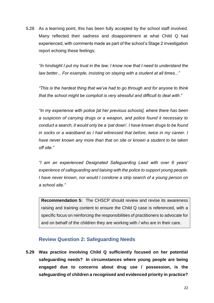5.28 As a learning point, this has been fully accepted by the school staff involved. Many reflected their sadness and disappointment at what Child Q had experienced, with comments made as part of the school's Stage 2 investigation report echoing these feelings:

*"In hindsight I put my trust in the law; I know now that I need to understand the law better... For example, insisting on staying with a student at all times..."*

*"This is the hardest thing that we've had to go through and for anyone to think that the school might be complicit is very stressful and difficult to deal with."*

*"In my experience with police [at her previous schools], where there has been a suspicion of carrying drugs or a weapon, and police found it necessary to conduct a search, it would only be a 'pat down'. I have known drugs to be found in socks or a waistband as I had witnessed that before, twice in my career. I have never known any more than that on site or known a student to be taken off site."*

*"I am an experienced Designated Safeguarding Lead with over 6 years' experience of safeguarding and liaising with the police to support young people. I have never known, nor would I condone a strip search of a young person on a school site."*

**Recommendation 5:** The CHSCP should review and revise its awareness raising and training content to ensure the Child Q case is referenced, with a specific focus on reinforcing the responsibilities of practitioners to advocate for and on behalf of the children they are working with / who are in their care.

#### <span id="page-22-0"></span>**Review Question 2: Safeguarding Needs**

**5.29 Was practice involving Child Q sufficiently focused on her potential safeguarding needs? In circumstances where young people are being engaged due to concerns about drug use / possession, is the safeguarding of children a recognised and evidenced priority in practice?**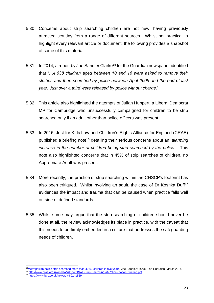- 5.30 Concerns about strip searching children are not new, having previously attracted scrutiny from a range of different sources. Whilst not practical to highlight every relevant article or document, the following provides a snapshot of some of this material.
- 5.31 In 2014, a report by Joe Sandler Clarke<sup>15</sup> for the Guardian newspaper identified that *'…4,638 children aged between 10 and 16 were asked to remove their clothes and then searched by police between April 2008 and the end of last year. Just over a third were released by police without charge.*'
- 5.32 This article also highlighted the attempts of Julian Huppert, a Liberal Democrat MP for Cambridge who unsuccessfully campaigned for children to be strip searched only if an adult other than police officers was present.
- 5.33 In 2015, Just for Kids Law and Children's Rights Alliance for England (CRAE) published a briefing note<sup>16</sup> detailing their serious concerns about an '*alarming increase in the number of children being strip searched by the police*'. This note also highlighted concerns that in 45% of strip searches of children, no Appropriate Adult was present.
- 5.34 More recently, the practice of strip searching within the CHSCP's footprint has also been critiqued. Whilst involving an adult, the case of Dr Koshka Duff<sup>17</sup> evidences the impact and trauma that can be caused when practice falls well outside of defined standards.
- 5.35 Whilst some may argue that the strip searching of children should never be done at all, the review acknowledges its place in practice, with the caveat that this needs to be firmly embedded in a culture that addresses the safeguarding needs of children.

<sup>&</sup>lt;sup>15</sup>[Metropolitan police strip searched more than 4,500 children in five years,](https://www.theguardian.com/uk-news/2014/mar/16/metropolitan-police-strip-search-children-4500) Joe Sandler Clarke, The Guardian, March 2014

<sup>16</sup> <http://www.crae.org.uk/media/76504/FINAL-Strip-Searching-at-Police-Station-Briefing.pdf>

<sup>17</sup> <https://www.bbc.co.uk/news/uk-60141559>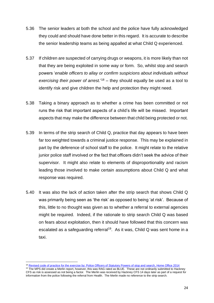- 5.36 The senior leaders at both the school and the police have fully acknowledged they could and should have done better in this regard. It is accurate to describe the senior leadership teams as being appalled at what Child Q experienced.
- 5.37 If children are suspected of carrying drugs or weapons, it is more likely than not that they are being exploited in some way or form. So, whilst stop and search powers '*enable officers to allay or confirm suspicions about individuals without exercising their power of arrest.*' <sup>18</sup> – they should equally be used as a tool to identify risk and give children the help and protection they might need.
- 5.38 Taking a binary approach as to whether a crime has been committed or not runs the risk that important aspects of a child's life will be missed. Important aspects that may make the difference between that child being protected or not.
- 5.39 In terms of the strip search of Child Q, practice that day appears to have been far too weighted towards a criminal justice response. This may be explained in part by the deference of school staff to the police. It might relate to the relative junior police staff involved or the fact that officers didn't seek the advice of their supervisor. It might also relate to elements of disproportionality and racism leading those involved to make certain assumptions about Child Q and what response was required.
- 5.40 It was also the lack of action taken after the strip search that shows Child Q was primarily being seen as 'the risk' as opposed to being 'at risk'. Because of this, little to no thought was given as to whether a referral to external agencies might be required. Indeed, if the rationale to strip search Child Q was based on fears about exploitation, then it should have followed that this concern was escalated as a safeguarding referral<sup>19</sup>. As it was, Child Q was sent home in a taxi.

<sup>&</sup>lt;sup>18</sup> [Revised code of practice for the exercise by: Police Officers of Statutory Powers of stop and search, Home Office 2014](https://assets.publishing.service.gov.uk/government/uploads/system/uploads/attachment_data/file/384122/PaceCodeAWeb.pdf)

<sup>&</sup>lt;sup>19</sup> The MPS did create a Merlin report, however, this was RAG rated as BLUE. These are not ordinarily submitted to Hackney CFS as risk is assessed as not being a factor. The Merlin was received by Hackney CFS 14 days later as part of a request for information from the police following the referral from Health. The Merlin made no reference to the strip search.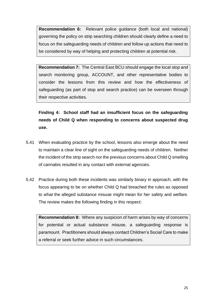**Recommendation 6:** Relevant police guidance (both local and national) governing the policy on strip searching children should clearly define a need to focus on the safeguarding needs of children and follow up actions that need to be considered by way of helping and protecting children at potential risk.

**Recommendation 7:** The Central East BCU should engage the local stop and search monitoring group, ACCOUNT, and other representative bodies to consider the lessons from this review and how the effectiveness of safeguarding (as part of stop and search practice) can be overseen through their respective activities.

**Finding 4: School staff had an insufficient focus on the safeguarding needs of Child Q when responding to concerns about suspected drug use.**

- 5.41 When evaluating practice by the school, lessons also emerge about the need to maintain a clear line of sight on the safeguarding needs of children. Neither the incident of the strip search nor the previous concerns about Child Q smelling of cannabis resulted in any contact with external agencies.
- 5.42 Practice during both these incidents was similarly binary in approach, with the focus appearing to be on whether Child Q had breached the rules as opposed to what the alleged substance misuse might mean for her safety and welfare. The review makes the following finding in this respect:

**Recommendation 8:** Where any suspicion of harm arises by way of concerns for potential or actual substance misuse, a safeguarding response is paramount. Practitioners should always contact Children's Social Care to make a referral or seek further advice in such circumstances.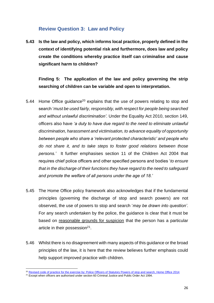#### **Review Question 3: Law and Policy**

<span id="page-26-0"></span>**5.43 Is the law and policy, which informs local practice, properly defined in the context of identifying potential risk and furthermore, does law and policy create the conditions whereby practice itself can criminalise and cause significant harm to children?**

#### **Finding 5: The application of the law and policy governing the strip searching of children can be variable and open to interpretation.**

- 5.44 Home Office guidance<sup>20</sup> explains that the use of powers relating to stop and search '*must be used fairly, responsibly, with respect for people being searched and without unlawful discrimination'.* Under the Equality Act 2010, section 149, officers also have *'a duty to have due regard to the need to eliminate unlawful discrimination, harassment and victimisation, to advance equality of opportunity between people who share a 'relevant protected characteristic' and people who do not share it, and to take steps to foster good relations between those persons.'* It further emphasises section 11 of the Children Act 2004 that requires chief police officers and other specified persons and bodies '*to ensure that in the discharge of their functions they have regard to the need to safeguard and promote the welfare of all persons under the age of 18.'*
- 5.45 The Home Office policy framework also acknowledges that if the fundamental principles (governing the discharge of stop and search powers) are not observed, the use of powers to stop and search '*may be drawn into question'*. For any search undertaken by the police, the guidance is clear that it must be based on reasonable grounds for suspicion that the person has a particular article in their possession<sup>21</sup>.
- 5.46 Whilst there is no disagreement with many aspects of this guidance or the broad principles of the law, it is here that the review believes further emphasis could help support improved practice with children.

<sup>&</sup>lt;sup>20</sup> [Revised code of practice for the exercise by: Police Officers of Statutory Powers of stop and search, Home Office 2014](https://assets.publishing.service.gov.uk/government/uploads/system/uploads/attachment_data/file/384122/PaceCodeAWeb.pdf)

<sup>&</sup>lt;sup>21</sup> Except when officers are authorised under section 60 Criminal Justice and Public Order Act 1994.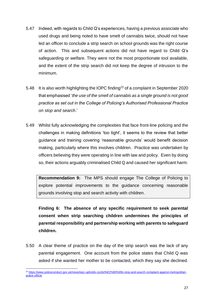- 5.47 Indeed, with regards to Child Q's experiences, having a previous associate who used drugs and being noted to have smelt of cannabis twice, should not have led an officer to conclude a strip search on school grounds was the right course of action. This and subsequent actions did not have regard to Child Q's safeguarding or welfare. They were not the most proportionate tool available, and the extent of the strip search did not keep the degree of intrusion to the minimum.
- 5.48 It is also worth highlighting the IOPC finding<sup>22</sup> of a complaint in September 2020 that emphasised '*the use of the smell of cannabis as a single ground is not good practice as set out in the College of Policing's Authorised Professional Practice on stop and search*.'
- 5.49 Whilst fully acknowledging the complexities that face front-line policing and the challenges in making definitions 'too tight', it seems to the review that better guidance and training covering 'reasonable grounds' would benefit decision making, particularly where this involves children. Practice was undertaken by officers believing they were operating in line with law and policy. Even by doing so, their actions arguably criminalised Child Q and caused her significant harm.

**Recommendation 9:** The MPS should engage The College of Policing to explore potential improvements to the guidance concerning reasonable grounds involving stop and search activity with children.

**Finding 6: The absence of any specific requirement to seek parental consent when strip searching children undermines the principles of parental responsibility and partnership working with parents to safeguard children.**

5.50 A clear theme of practice on the day of the strip search was the lack of any parental engagement. One account from the police states that Child Q was asked if she wanted her mother to be contacted, which they say she declined.

<sup>22</sup> [https://www.policeconduct.gov.uk/news/iopc-upholds-cyclist%E2%80%99s-stop-and-search-complaint-against-metropolitan](https://www.policeconduct.gov.uk/news/iopc-upholds-cyclist%E2%80%99s-stop-and-search-complaint-against-metropolitan-police-officer)[police-officer](https://www.policeconduct.gov.uk/news/iopc-upholds-cyclist%E2%80%99s-stop-and-search-complaint-against-metropolitan-police-officer)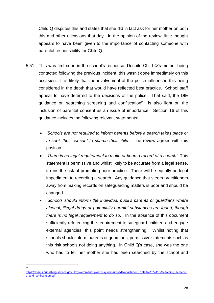Child Q disputes this and states that she did in fact ask for her mother on both this and other occasions that day. In the opinion of the review, little thought appears to have been given to the importance of contacting someone with parental responsibility for Child Q.

- 5.51 This was first seen in the school's response. Despite Child Q's mother being contacted following the previous incident, this wasn't done immediately on this occasion. It is likely that the involvement of the police influenced this being considered in the depth that would have reflected best practice. School staff appear to have deferred to the decisions of the police. That said, the DfE guidance on searching screening and confiscation<sup>23</sup>, is also light on the inclusion of parental consent as an issue of importance. Section 16 of this guidance includes the following relevant statements:
	- *'Schools are not required to inform parents before a search takes place or to seek their consent to search their child'*. The review agrees with this position.
	- *'There is no legal requirement to make or keep a record of a search'*. This statement is permissive and whilst likely to be accurate from a legal sense, it runs the risk of promoting poor practice. There will be equally no legal impediment to recording a search. Any guidance that steers practitioners away from making records on safeguarding matters is poor and should be changed.
	- *'Schools should inform the individual pupil's parents or guardians where alcohol, illegal drugs or potentially harmful substances are found, though there is no legal requirement to do so.'* In the absence of this document sufficiently referencing the requirement to safeguard children and engage external agencies, this point needs strengthening. Whilst noting that schools should inform parents or guardians, permissive statements such as this risk schools not doing anything. In Child Q's case, she was the one who had to tell her mother she had been searched by the school and

 $23$ 

[https://assets.publishing.service.gov.uk/government/uploads/system/uploads/attachment\\_data/file/674416/Searching\\_screenin](https://assets.publishing.service.gov.uk/government/uploads/system/uploads/attachment_data/file/674416/Searching_screening_and_confiscation.pdf) [g\\_and\\_confiscation.pdf](https://assets.publishing.service.gov.uk/government/uploads/system/uploads/attachment_data/file/674416/Searching_screening_and_confiscation.pdf)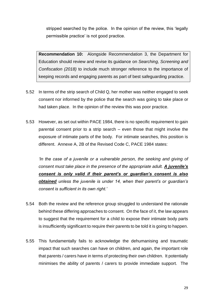stripped searched by the police. In the opinion of the review, this 'legally permissible practice' is not good practice.

**Recommendation 10:** Alongside Recommendation 3, the Department for Education should review and revise its guidance on *Searching, Screening and Confiscation (2018)* to include much stronger reference to the importance of keeping records and engaging parents as part of best safeguarding practice.

- 5.52 In terms of the strip search of Child Q, her mother was neither engaged to seek consent nor informed by the police that the search was going to take place or had taken place. In the opinion of the review this was poor practice.
- 5.53 However, as set out within PACE 1984, there is no specific requirement to gain parental consent prior to a strip search – even those that might involve the exposure of intimate parts of the body. For intimate searches, this position is different. Annexe A, 2B of the Revised Code C, PACE 1984 states:

*'In the case of a juvenile or a vulnerable person, the seeking and giving of consent must take place in the presence of the appropriate adult. A juvenile's consent is only valid if their parent's or guardian's consent is also obtained unless the juvenile is under 14, when their parent's or guardian's consent is sufficient in its own right.'*

- 5.54 Both the review and the reference group struggled to understand the rationale behind these differing approaches to consent. On the face of it, the law appears to suggest that the requirement for a child to expose their intimate body parts is insufficiently significant to require their parents to be told it is going to happen.
- 5.55 This fundamentally fails to acknowledge the dehumanising and traumatic impact that such searches can have on children, and again, the important role that parents / carers have in terms of protecting their own children. It potentially minimises the ability of parents / carers to provide immediate support. The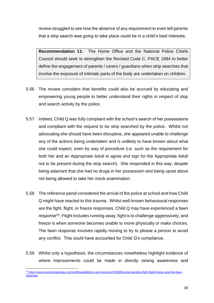review struggled to see how the absence of any requirement to even tell parents that a strip search was going to take place could be in a child's best interests.

**Recommendation 11:** The Home Office and the National Police Chiefs Council should seek to strengthen the Revised Code C, PACE 1984 to better define the engagement of parents / carers / guardians when strip searches that involve the exposure of intimate parts of the body are undertaken on children.

- 5.56 The review considers that benefits could also be accrued by educating and empowering young people to better understand their rights in respect of stop and search activity by the police.
- 5.57 Indeed, Child Q was fully compliant with the school's search of her possessions and compliant with the request to be strip searched by the police. Whilst not advocating she should have been disruptive, she appeared unable to challenge any of the actions being undertaken and is unlikely to have known about what she could expect, even by way of procedure (i.e. such as the requirement for both her and an Appropriate Adult to agree and sign for the Appropriate Adult not to be present during the strip search). She responded in this way, despite being adamant that she had no drugs in her possession and being upset about not being allowed to take her mock examination.
- 5.58 The reference panel considered the arrival of the police at school and how Child Q might have reacted to this trauma. Whilst well-known behavioural responses are the fight, flight, or freeze responses, Child Q may have experienced a fawn response<sup>24</sup>. Flight includes running away, fight is to challenge aggressively, and freeze is when someone becomes unable to move physically or make choices. The fawn response involves rapidly moving to try to please a person to avoid any conflict. This could have accounted for Child Q's compliance.
- 5.59 Whilst only a hypothesis, the circumstances nonetheless highlight evidence of where improvements could be made in directly raising awareness and

<sup>&</sup>lt;sup>24</sup> [https://www.psychologytoday.com/us/blog/addiction-and-recovery/202008/understanding-fight-flight-freeze-and-the-fawn](https://www.psychologytoday.com/us/blog/addiction-and-recovery/202008/understanding-fight-flight-freeze-and-the-fawn-response)[response](https://www.psychologytoday.com/us/blog/addiction-and-recovery/202008/understanding-fight-flight-freeze-and-the-fawn-response)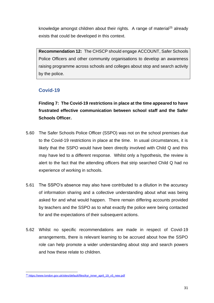knowledge amongst children about their rights. A range of material<sup>25</sup> already exists that could be developed in this context.

**Recommendation 12:** The CHSCP should engage ACCOUNT, Safer Schools Police Officers and other community organisations to develop an awareness raising programme across schools and colleges about stop and search activity by the police.

#### <span id="page-31-0"></span>**Covid-19**

**Finding 7: The Covid-19 restrictions in place at the time appeared to have frustrated effective communication between school staff and the Safer Schools Officer.** 

- 5.60 The Safer Schools Police Officer (SSPO) was not on the school premises due to the Covid-19 restrictions in place at the time. In usual circumstances, it is likely that the SSPO would have been directly involved with Child Q and this may have led to a different response. Whilst only a hypothesis, the review is alert to the fact that the attending officers that strip searched Child Q had no experience of working in schools.
- 5.61 The SSPO's absence may also have contributed to a dilution in the accuracy of information sharing and a collective understanding about what was being asked for and what would happen. There remain differing accounts provided by teachers and the SSPO as to what exactly the police were being contacted for and the expectations of their subsequent actions.
- 5.62 Whilst no specific recommendations are made in respect of Covid-19 arrangements, there is relevant learning to be accrued about how the SSPO role can help promote a wider understanding about stop and search powers and how these relate to children.

<sup>&</sup>lt;sup>25</sup> [https://www.london.gov.uk/sites/default/files/kyr\\_inner\\_april\\_19\\_v5\\_new.pdf](https://www.london.gov.uk/sites/default/files/kyr_inner_april_19_v5_new.pdf)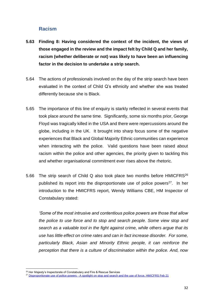#### **Racism**

- <span id="page-32-0"></span>**5.63 Finding 8: Having considered the context of the incident, the views of those engaged in the review and the impact felt by Child Q and her family, racism (whether deliberate or not) was likely to have been an influencing factor in the decision to undertake a strip search.**
- 5.64 The actions of professionals involved on the day of the strip search have been evaluated in the context of Child Q's ethnicity and whether she was treated differently because she is Black.
- 5.65 The importance of this line of enquiry is starkly reflected in several events that took place around the same time. Significantly, some six months prior, George Floyd was tragically killed in the USA and there were repercussions around the globe, including in the UK. It brought into sharp focus some of the negative experiences that Black and Global Majority Ethnic communities can experience when interacting with the police. Valid questions have been raised about racism within the police and other agencies, the priority given to tackling this and whether organisational commitment ever rises above the rhetoric.
- 5.66 The strip search of Child Q also took place two months before HMICFRS<sup>26</sup> published its report into the disproportionate use of police powers<sup>27</sup>. In her introduction to the HMICFRS report, Wendy Williams CBE, HM Inspector of Constabulary stated:

*'Some of the most intrusive and contentious police powers are those that allow the police to use force and to stop and search people. Some view stop and search as a valuable tool in the fight against crime, while others argue that its use has little effect on crime rates and can in fact increase disorder. For some, particularly Black, Asian and Minority Ethnic people, it can reinforce the perception that there is a culture of discrimination within the police. And, now* 

<sup>&</sup>lt;sup>26</sup> Her Majesty's Inspectorate of Constabulary and Fire & Rescue Services

<sup>&</sup>lt;sup>27</sup> Disproportionate use of police powers - [A spotlight on stop and search and the use of force, HMICFRS Feb 21](https://www.justiceinspectorates.gov.uk/hmicfrs/wp-content/uploads/disproportionate-use-of-police-powers-spotlight-on-stop-search-and-use-of-force.pdf)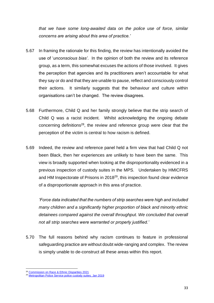*that we have some long-awaited data on the police use of force, similar concerns are arising about this area of practice.'* 

- 5.67 In framing the rationale for this finding, the review has intentionally avoided the use of '*unconscious bias'*. In the opinion of both the review and its reference group, as a term, this somewhat excuses the actions of those involved. It gives the perception that agencies and its practitioners aren't accountable for what they say or do and that they are unable to pause, reflect and consciously control their actions. It similarly suggests that the behaviour and culture within organisations can't be changed. The review disagrees.
- 5.68 Furthermore, Child Q and her family strongly believe that the strip search of Child Q was a racist incident. Whilst acknowledging the ongoing debate concerning definitions<sup>28</sup>, the review and reference group were clear that the perception of the victim is central to how racism is defined.
- 5.69 Indeed, the review and reference panel held a firm view that had Child Q not been Black, then her experiences are unlikely to have been the same. This view is broadly supported when looking at the disproportionality evidenced in a previous inspection of custody suites in the MPS. Undertaken by HMICFRS and HM Inspectorate of Prisons in 2018<sup>29</sup>, this inspection found clear evidence of a disproportionate approach in this area of practice.

*'Force data indicated that the numbers of strip searches were high and included many children and a significantly higher proportion of black and minority ethnic detainees compared against the overall throughput. We concluded that overall not all strip searches were warranted or properly justified.'* 

5.70 The full reasons behind why racism continues to feature in professional safeguarding practice are without doubt wide-ranging and complex. The review is simply unable to de-construct all these areas within this report.

<sup>&</sup>lt;sup>28</sup> [Commission on Race & Ethnic Disparities 2021](https://assets.publishing.service.gov.uk/government/uploads/system/uploads/attachment_data/file/974507/20210331_-_CRED_Report_-_FINAL_-_Web_Accessible.pdf)

<sup>&</sup>lt;sup>29</sup> [Metropolitan Police Service police custody suites, Jan 2019](https://www.justiceinspectorates.gov.uk/hmiprisons/inspections/metropolitan-police-service-police-custody-suites/)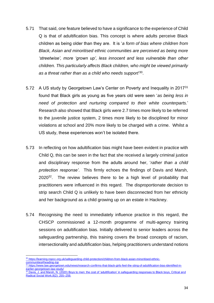- 5.71 That said, one feature believed to have a significance to the experience of Child Q is that of adultification bias. This concept is where adults perceive Black children as being older than they are. It is '*a form of bias where children from Black, Asian and minoritised ethnic communities are perceived as being more 'streetwise', more 'grown up', less innocent and less vulnerable than other children. This particularly affects Black children, who might be viewed primarily as a threat rather than as a child who needs support*' 30 .
- 5.72 A US study by Georgetown Law's Center on Poverty and Inequality in 2017<sup>31</sup> found that Black girls as young as five years old were seen '*as being less in need of protection and nurturing compared to their white counterparts.*' Research also showed that Black girls were 2.7 times more likely to be referred to the juvenile justice system, 2 times more likely to be disciplined for minor violations at school and 20% more likely to be charged with a crime. Whilst a US study, these experiences won't be isolated there.
- 5.73 In reflecting on how adultification bias might have been evident in practice with Child Q, this can be seen in the fact that she received a largely criminal justice and disciplinary response from the adults around her, '*rather than a child protection response'*. This firmly echoes the findings of Davis and Marsh, 2020<sup>32</sup>. The review believes there to be a high level of probability that practitioners were influenced in this regard. The disproportionate decision to strip search Child Q is unlikely to have been disconnected from her ethnicity and her background as a child growing up on an estate in Hackney.
- 5.74 Recognising the need to immediately influence practice in this regard, the CHSCP commissioned a 12-month programme of multi-agency training sessions on adultification bias. Initially delivered to senior leaders across the safeguarding partnership, this training covers the broad concepts of racism, intersectionality and adultification bias, helping practitioners understand notions

<sup>30</sup> [https://learning.nspcc.org.uk/safeguarding-child-protection/children-from-black-asian-minoritised-ethnic](https://learning.nspcc.org.uk/safeguarding-child-protection/children-from-black-asian-minoritised-ethnic-communities#heading-top)[communities#heading-top](https://learning.nspcc.org.uk/safeguarding-child-protection/children-from-black-asian-minoritised-ethnic-communities#heading-top)

<sup>31</sup> [https://www.law.georgetown.edu/news/research-confirms-that-black-girls-feel-the-sting-of-adultification-bias-identified-in](https://www.law.georgetown.edu/news/research-confirms-that-black-girls-feel-the-sting-of-adultification-bias-identified-in-earlier-georgetown-law-study/)[earlier-georgetown-law-study/](https://www.law.georgetown.edu/news/research-confirms-that-black-girls-feel-the-sting-of-adultification-bias-identified-in-earlier-georgetown-law-study/)

 $32$  Davis, J. and Marsh, N. (2020) Boys to men: the cost of 'adultification' in safeguarding responses to Black boys, Critical and [Radical Social Work,8\(2\): 255–259.](https://www.ingentaconnect.com/contentone/tpp/crsw/2020/00000008/00000002/art00009)